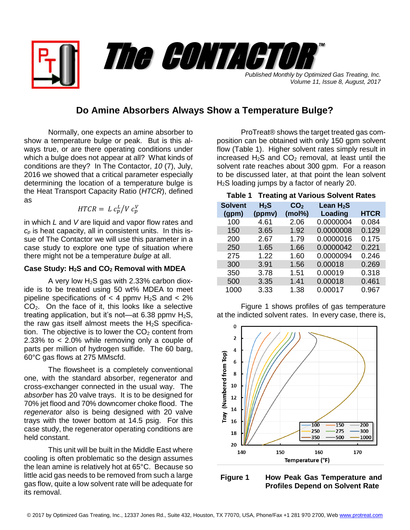*Published Monthly by Optimized Gas Treating, Inc. Volume 11, Issue 8, August, 2017* The CONTACTOR

™

## **Do Amine Absorbers Always Show a Temperature Bulge?**

Normally, one expects an amine absorber to show a temperature bulge or peak. But is this always true, or are there operating conditions under which a bulge does not appear at all? What kinds of conditions are they? In The Contactor, *10* (7), July, 2016 we showed that a critical parameter especially determining the location of a temperature bulge is the Heat Transport Capacity Ratio (*HTCR*), defined as

$$
HTCR = L c_p^L / V c_p^V
$$

in which *L* and *V* are liquid and vapor flow rates and *c<sup>p</sup>* is heat capacity, all in consistent units. In this issue of The Contactor we will use this parameter in a case study to explore one type of situation where there might not be a temperature *bulge* at all.

## **Case Study: H2S and CO<sup>2</sup> Removal with MDEA**

A very low  $H_2S$  gas with 2.33% carbon dioxide is to be treated using 50 wt% MDEA to meet pipeline specifications of  $<$  4 ppmv H<sub>2</sub>S and  $<$  2% CO2. On the face of it, this looks like a selective treating application, but it's not—at 6.38 ppmv  $H_2S$ , the raw gas itself almost meets the  $H_2S$  specification. The objective is to lower the  $CO<sub>2</sub>$  content from 2.33% to < 2.0% while removing only a couple of parts per million of hydrogen sulfide. The 60 barg, 60°C gas flows at 275 MMscfd.

The flowsheet is a completely conventional one, with the standard absorber, regenerator and cross-exchanger connected in the usual way. The *absorber* has 20 valve trays. It is to be designed for 70% jet flood and 70% downcomer choke flood. The *regenerator* also is being designed with 20 valve trays with the tower bottom at 14.5 psig. For this case study, the regenerator operating conditions are held constant.

This unit will be built in the Middle East where cooling is often problematic so the design assumes the lean amine is relatively hot at 65°C. Because so little acid gas needs to be removed from such a large gas flow, quite a low solvent rate will be adequate for its removal.

ProTreat® shows the target treated gas composition can be obtained with only 150 gpm solvent flow (Table 1). Higher solvent rates simply result in increased  $H_2S$  and  $CO_2$  removal, at least until the solvent rate reaches about 300 gpm. For a reason to be discussed later, at that point the lean solvent  $H<sub>2</sub>S$  loading jumps by a factor of nearly 20.

## **Table 1 Treating at Various Solvent Rates**

| <b>Solvent</b><br>(gpm) | $H_2S$<br>(ppmv) | CO <sub>2</sub><br>(mol%) | Lean $H_2S$<br>Loading | <b>HTCR</b> |
|-------------------------|------------------|---------------------------|------------------------|-------------|
| 100                     | 4.61             | 2.06                      | 0.0000004              | 0.084       |
| 150                     | 3.65             | 1.92                      | 0.0000008              | 0.129       |
| 200                     | 2.67             | 1.79                      | 0.0000016              | 0.175       |
| 250                     | 1.65             | 1.66                      | 0.0000042              | 0.221       |
| 275                     | 1.22             | 1.60                      | 0.0000094              | 0.246       |
| 300                     | 3.91             | 1.56                      | 0.00018                | 0.269       |
| 350                     | 3.78             | 1.51                      | 0.00019                | 0.318       |
| 500                     | 3.35             | 1.41                      | 0.00018                | 0.461       |
| 1000                    | 3.33             | 1.38                      | 0.00017                | 0.967       |

Figure 1 shows profiles of gas temperature at the indicted solvent rates. In every case, there is,



**Figure 1 How Peak Gas Temperature and Profiles Depend on Solvent Rate**